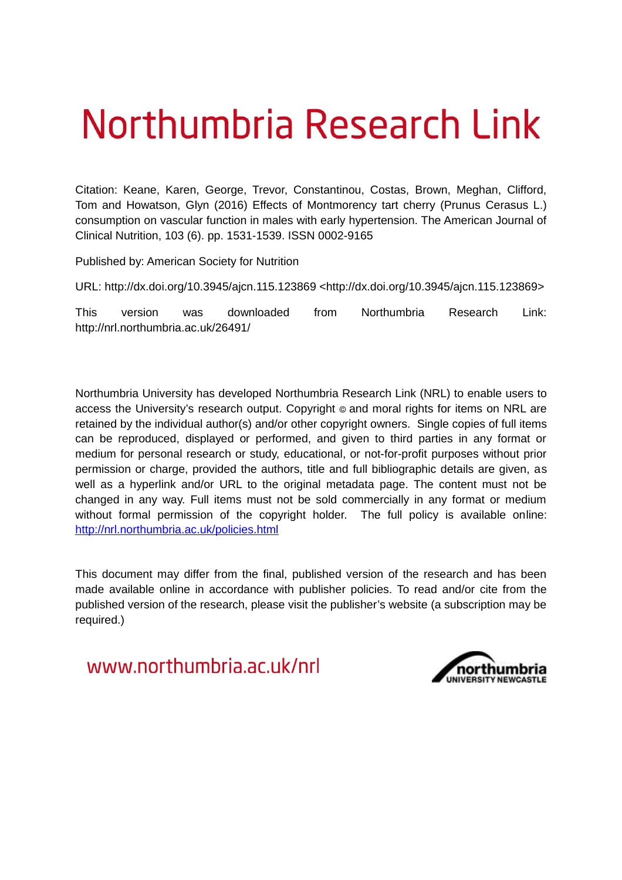# Northumbria Research Link

Citation: Keane, Karen, George, Trevor, Constantinou, Costas, Brown, Meghan, Clifford, Tom and Howatson, Glyn (2016) Effects of Montmorency tart cherry (Prunus Cerasus L.) consumption on vascular function in males with early hypertension. The American Journal of Clinical Nutrition, 103 (6). pp. 1531-1539. ISSN 0002-9165

Published by: American Society for Nutrition

URL: http://dx.doi.org/10.3945/ajcn.115.123869 <http://dx.doi.org/10.3945/ajcn.115.123869>

This version was downloaded from Northumbria Research Link: http://nrl.northumbria.ac.uk/26491/

Northumbria University has developed Northumbria Research Link (NRL) to enable users to access the University's research output. Copyright  $\circ$  and moral rights for items on NRL are retained by the individual author(s) and/or other copyright owners. Single copies of full items can be reproduced, displayed or performed, and given to third parties in any format or medium for personal research or study, educational, or not-for-profit purposes without prior permission or charge, provided the authors, title and full bibliographic details are given, as well as a hyperlink and/or URL to the original metadata page. The content must not be changed in any way. Full items must not be sold commercially in any format or medium without formal permission of the copyright holder. The full policy is available online: <http://nrl.northumbria.ac.uk/policies.html>

This document may differ from the final, published version of the research and has been made available online in accordance with publisher policies. To read and/or cite from the published version of the research, please visit the publisher's website (a subscription may be required.)

www.northumbria.ac.uk/nrl

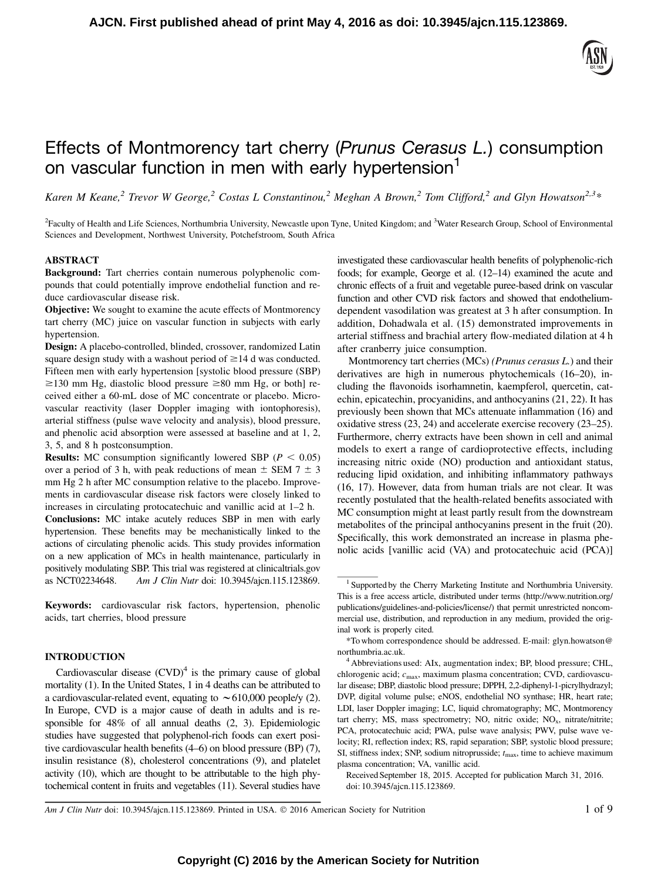# Effects of Montmorency tart cherry (*Prunus Cerasus L.*) consumption on vascular function in men with early hypertension<sup>1</sup>

Karen M Keane,<sup>2</sup> Trevor W George,<sup>2</sup> Costas L Constantinou,<sup>2</sup> Meghan A Brown,<sup>2</sup> Tom Clifford,<sup>2</sup> and Glyn Howatson<sup>2,3</sup>\*

<sup>2</sup> Faculty of Health and Life Sciences, Northumbria University, Newcastle upon Tyne, United Kingdom; and <sup>3</sup> Water Research Group, School of Environmental Sciences and Development, Northwest University, Potchefstroom, South Africa

# ABSTRACT

Background: Tart cherries contain numerous polyphenolic compounds that could potentially improve endothelial function and reduce cardiovascular disease risk.

Objective: We sought to examine the acute effects of Montmorency tart cherry (MC) juice on vascular function in subjects with early hypertension.

Design: A placebo-controlled, blinded, crossover, randomized Latin square design study with a washout period of  $\geq$  14 d was conducted. Fifteen men with early hypertension [systolic blood pressure (SBP)  $\geq$ 130 mm Hg, diastolic blood pressure  $\geq$ 80 mm Hg, or both] received either a 60-mL dose of MC concentrate or placebo. Microvascular reactivity (laser Doppler imaging with iontophoresis), arterial stiffness (pulse wave velocity and analysis), blood pressure, and phenolic acid absorption were assessed at baseline and at 1, 2, 3, 5, and 8 h postconsumption.

**Results:** MC consumption significantly lowered SBP ( $P < 0.05$ ) over a period of 3 h, with peak reductions of mean  $\pm$  SEM 7  $\pm$  3 mm Hg 2 h after MC consumption relative to the placebo. Improvements in cardiovascular disease risk factors were closely linked to increases in circulating protocatechuic and vanillic acid at 1–2 h.

Conclusions: MC intake acutely reduces SBP in men with early hypertension. These benefits may be mechanistically linked to the actions of circulating phenolic acids. This study provides information on a new application of MCs in health maintenance, particularly in positively modulating SBP. This trial was registered at clinicaltrials.gov as NCT02234648. Am J Clin Nutr doi: 10.3945/ajcn.115.123869.

Keywords: cardiovascular risk factors, hypertension, phenolic acids, tart cherries, blood pressure

# INTRODUCTION

Cardiovascular disease  $(CVD)^4$  is the primary cause of global mortality (1). In the United States, 1 in 4 deaths can be attributed to a cardiovascular-related event, equating to  $\sim 610,000$  people/y (2). In Europe, CVD is a major cause of death in adults and is responsible for 48% of all annual deaths (2, 3). Epidemiologic studies have suggested that polyphenol-rich foods can exert positive cardiovascular health benefits (4–6) on blood pressure (BP) (7), insulin resistance (8), cholesterol concentrations (9), and platelet activity (10), which are thought to be attributable to the high phytochemical content in fruits and vegetables (11). Several studies have

investigated these cardiovascular health benefits of polyphenolic-rich foods; for example, George et al. (12–14) examined the acute and chronic effects of a fruit and vegetable puree-based drink on vascular function and other CVD risk factors and showed that endotheliumdependent vasodilation was greatest at 3 h after consumption. In addition, Dohadwala et al. (15) demonstrated improvements in arterial stiffness and brachial artery flow-mediated dilation at 4 h after cranberry juice consumption.

Montmorency tart cherries (MCs) (Prunus cerasus L.) and their derivatives are high in numerous phytochemicals (16–20), including the flavonoids isorhamnetin, kaempferol, quercetin, catechin, epicatechin, procyanidins, and anthocyanins (21, 22). It has previously been shown that MCs attenuate inflammation (16) and oxidative stress (23, 24) and accelerate exercise recovery (23–25). Furthermore, cherry extracts have been shown in cell and animal models to exert a range of cardioprotective effects, including increasing nitric oxide (NO) production and antioxidant status, reducing lipid oxidation, and inhibiting inflammatory pathways (16, 17). However, data from human trials are not clear. It was recently postulated that the health-related benefits associated with MC consumption might at least partly result from the downstream metabolites of the principal anthocyanins present in the fruit (20). Specifically, this work demonstrated an increase in plasma phenolic acids [vanillic acid (VA) and protocatechuic acid (PCA)]

Am J Clin Nutr doi: 10.3945/ajcn.115.123869. Printed in USA.  $\odot$  2016 American Society for Nutrition 1 of 9

<sup>&</sup>lt;sup>1</sup> Supported by the Cherry Marketing Institute and Northumbria University. This is a free access article, distributed under terms (http://www.nutrition.org/ publications/guidelines-and-policies/license/) that permit unrestricted noncommercial use, distribution, and reproduction in any medium, provided the original work is properly cited.

<sup>\*</sup>To whom correspondence should be addressed. E-mail: glyn.howatson@ northumbria.ac.uk.

 $4$  Abbreviations used: AIx, augmentation index; BP, blood pressure; CHL, chlorogenic acid;  $c_{\text{max}}$ , maximum plasma concentration; CVD, cardiovascular disease; DBP, diastolic blood pressure; DPPH, 2,2-diphenyl-1-picrylhydrazyl; DVP, digital volume pulse; eNOS, endothelial NO synthase; HR, heart rate; LDI, laser Doppler imaging; LC, liquid chromatography; MC, Montmorency tart cherry; MS, mass spectrometry; NO, nitric oxide;  $NO<sub>x</sub>$ , nitrate/nitrite; PCA, protocatechuic acid; PWA, pulse wave analysis; PWV, pulse wave velocity; RI, reflection index; RS, rapid separation; SBP, systolic blood pressure; SI, stiffness index; SNP, sodium nitroprusside;  $t_{\text{max}}$ , time to achieve maximum plasma concentration; VA, vanillic acid.

Received September 18, 2015. Accepted for publication March 31, 2016. doi: 10.3945/ajcn.115.123869.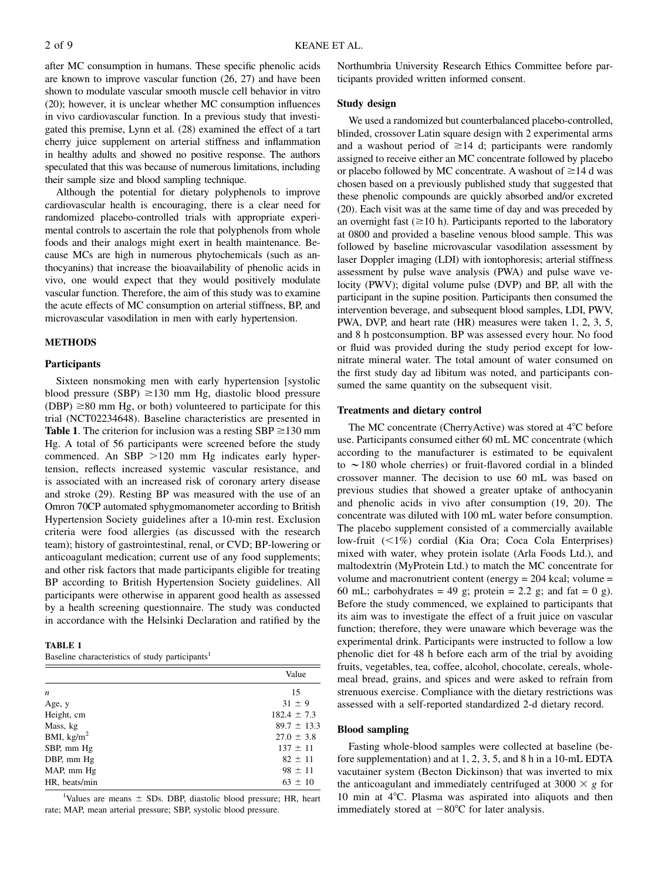after MC consumption in humans. These specific phenolic acids are known to improve vascular function (26, 27) and have been shown to modulate vascular smooth muscle cell behavior in vitro (20); however, it is unclear whether MC consumption influences in vivo cardiovascular function. In a previous study that investigated this premise, Lynn et al. (28) examined the effect of a tart cherry juice supplement on arterial stiffness and inflammation in healthy adults and showed no positive response. The authors speculated that this was because of numerous limitations, including their sample size and blood sampling technique.

Although the potential for dietary polyphenols to improve cardiovascular health is encouraging, there is a clear need for randomized placebo-controlled trials with appropriate experimental controls to ascertain the role that polyphenols from whole foods and their analogs might exert in health maintenance. Because MCs are high in numerous phytochemicals (such as anthocyanins) that increase the bioavailability of phenolic acids in vivo, one would expect that they would positively modulate vascular function. Therefore, the aim of this study was to examine the acute effects of MC consumption on arterial stiffness, BP, and microvascular vasodilation in men with early hypertension.

# METHODS

# Participants

Sixteen nonsmoking men with early hypertension [systolic blood pressure (SBP)  $\geq$ 130 mm Hg, diastolic blood pressure  $(DBP) \geq 80$  mm Hg, or both) volunteered to participate for this trial (NCT02234648). Baseline characteristics are presented in **Table 1.** The criterion for inclusion was a resting  $SBP \ge 130$  mm Hg. A total of 56 participants were screened before the study commenced. An SBP  $>120$  mm Hg indicates early hypertension, reflects increased systemic vascular resistance, and is associated with an increased risk of coronary artery disease and stroke (29). Resting BP was measured with the use of an Omron 70CP automated sphygmomanometer according to British Hypertension Society guidelines after a 10-min rest. Exclusion criteria were food allergies (as discussed with the research team); history of gastrointestinal, renal, or CVD; BP-lowering or anticoagulant medication; current use of any food supplements; and other risk factors that made participants eligible for treating BP according to British Hypertension Society guidelines. All participants were otherwise in apparent good health as assessed by a health screening questionnaire. The study was conducted in accordance with the Helsinki Declaration and ratified by the

# TABLE 1

|                      | Value           |  |  |  |  |
|----------------------|-----------------|--|--|--|--|
| $\boldsymbol{n}$     | 15              |  |  |  |  |
| Age, y               | $31 \pm 9$      |  |  |  |  |
| Height, cm           | $182.4 \pm 7.3$ |  |  |  |  |
| Mass, kg             | $89.7 \pm 13.3$ |  |  |  |  |
| BMI, $\text{kg/m}^2$ | $27.0 \pm 3.8$  |  |  |  |  |
| SBP, mm Hg           | $137 \pm 11$    |  |  |  |  |
| DBP, mm Hg           | $82 \pm 11$     |  |  |  |  |
| MAP, mm Hg           | $98 \pm 11$     |  |  |  |  |
| HR, beats/min        | $63 \pm 10$     |  |  |  |  |

<sup>1</sup>Values are means  $\pm$  SDs. DBP, diastolic blood pressure; HR, heart rate; MAP, mean arterial pressure; SBP, systolic blood pressure.

Northumbria University Research Ethics Committee before participants provided written informed consent.

#### Study design

We used a randomized but counterbalanced placebo-controlled, blinded, crossover Latin square design with 2 experimental arms and a washout period of  $\geq$ 14 d; participants were randomly assigned to receive either an MC concentrate followed by placebo or placebo followed by MC concentrate. A washout of  $\geq$ 14 d was chosen based on a previously published study that suggested that these phenolic compounds are quickly absorbed and/or excreted (20). Each visit was at the same time of day and was preceded by an overnight fast  $(\geq 10 \text{ h})$ . Participants reported to the laboratory at 0800 and provided a baseline venous blood sample. This was followed by baseline microvascular vasodilation assessment by laser Doppler imaging (LDI) with iontophoresis; arterial stiffness assessment by pulse wave analysis (PWA) and pulse wave velocity (PWV); digital volume pulse (DVP) and BP, all with the participant in the supine position. Participants then consumed the intervention beverage, and subsequent blood samples, LDI, PWV, PWA, DVP, and heart rate (HR) measures were taken 1, 2, 3, 5, and 8 h postconsumption. BP was assessed every hour. No food or fluid was provided during the study period except for lownitrate mineral water. The total amount of water consumed on the first study day ad libitum was noted, and participants consumed the same quantity on the subsequent visit.

# Treatments and dietary control

The MC concentrate (CherryActive) was stored at 4°C before use. Participants consumed either 60 mL MC concentrate (which according to the manufacturer is estimated to be equivalent to  $\sim$  180 whole cherries) or fruit-flavored cordial in a blinded crossover manner. The decision to use 60 mL was based on previous studies that showed a greater uptake of anthocyanin and phenolic acids in vivo after consumption (19, 20). The concentrate was diluted with 100 mL water before consumption. The placebo supplement consisted of a commercially available low-fruit (<1%) cordial (Kia Ora; Coca Cola Enterprises) mixed with water, whey protein isolate (Arla Foods Ltd.), and maltodextrin (MyProtein Ltd.) to match the MC concentrate for volume and macronutrient content (energy = 204 kcal; volume = 60 mL; carbohydrates = 49 g; protein = 2.2 g; and fat = 0 g). Before the study commenced, we explained to participants that its aim was to investigate the effect of a fruit juice on vascular function; therefore, they were unaware which beverage was the experimental drink. Participants were instructed to follow a low phenolic diet for 48 h before each arm of the trial by avoiding fruits, vegetables, tea, coffee, alcohol, chocolate, cereals, wholemeal bread, grains, and spices and were asked to refrain from strenuous exercise. Compliance with the dietary restrictions was assessed with a self-reported standardized 2-d dietary record.

#### Blood sampling

Fasting whole-blood samples were collected at baseline (before supplementation) and at 1, 2, 3, 5, and 8 h in a 10-mL EDTA vacutainer system (Becton Dickinson) that was inverted to mix the anticoagulant and immediately centrifuged at 3000  $\times$  g for 10 min at  $4^{\circ}$ C. Plasma was aspirated into aliquots and then immediately stored at  $-80^{\circ}$ C for later analysis.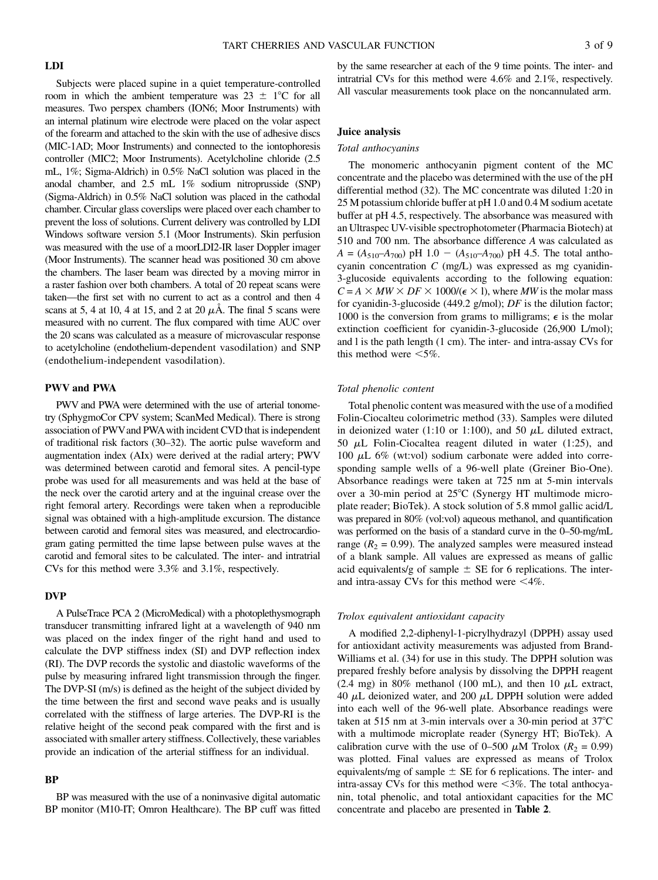# LDI

Subjects were placed supine in a quiet temperature-controlled room in which the ambient temperature was  $23 \pm 1^{\circ}C$  for all measures. Two perspex chambers (ION6; Moor Instruments) with an internal platinum wire electrode were placed on the volar aspect of the forearm and attached to the skin with the use of adhesive discs (MIC-1AD; Moor Instruments) and connected to the iontophoresis controller (MIC2; Moor Instruments). Acetylcholine chloride (2.5 mL, 1%; Sigma-Aldrich) in 0.5% NaCl solution was placed in the anodal chamber, and 2.5 mL 1% sodium nitroprusside (SNP) (Sigma-Aldrich) in 0.5% NaCl solution was placed in the cathodal chamber. Circular glass coverslips were placed over each chamber to prevent the loss of solutions. Current delivery was controlled by LDI Windows software version 5.1 (Moor Instruments). Skin perfusion was measured with the use of a moorLDI2-IR laser Doppler imager (Moor Instruments). The scanner head was positioned 30 cm above the chambers. The laser beam was directed by a moving mirror in a raster fashion over both chambers. A total of 20 repeat scans were taken—the first set with no current to act as a control and then 4 scans at 5, 4 at 10, 4 at 15, and 2 at 20  $\mu$ Å. The final 5 scans were measured with no current. The flux compared with time AUC over the 20 scans was calculated as a measure of microvascular response to acetylcholine (endothelium-dependent vasodilation) and SNP (endothelium-independent vasodilation).

# PWV and PWA

PWV and PWA were determined with the use of arterial tonometry (SphygmoCor CPV system; ScanMed Medical). There is strong association of PWVand PWAwith incident CVD that is independent of traditional risk factors (30–32). The aortic pulse waveform and augmentation index (AIx) were derived at the radial artery; PWV was determined between carotid and femoral sites. A pencil-type probe was used for all measurements and was held at the base of the neck over the carotid artery and at the inguinal crease over the right femoral artery. Recordings were taken when a reproducible signal was obtained with a high-amplitude excursion. The distance between carotid and femoral sites was measured, and electrocardiogram gating permitted the time lapse between pulse waves at the carotid and femoral sites to be calculated. The inter- and intratrial CVs for this method were 3.3% and 3.1%, respectively.

# DVP

A PulseTrace PCA 2 (MicroMedical) with a photoplethysmograph transducer transmitting infrared light at a wavelength of 940 nm was placed on the index finger of the right hand and used to calculate the DVP stiffness index (SI) and DVP reflection index (RI). The DVP records the systolic and diastolic waveforms of the pulse by measuring infrared light transmission through the finger. The DVP-SI (m/s) is defined as the height of the subject divided by the time between the first and second wave peaks and is usually correlated with the stiffness of large arteries. The DVP-RI is the relative height of the second peak compared with the first and is associated with smaller artery stiffness. Collectively, these variables provide an indication of the arterial stiffness for an individual.

# BP

BP was measured with the use of a noninvasive digital automatic BP monitor (M10-IT; Omron Healthcare). The BP cuff was fitted by the same researcher at each of the 9 time points. The inter- and intratrial CVs for this method were 4.6% and 2.1%, respectively. All vascular measurements took place on the noncannulated arm.

# Juice analysis

#### Total anthocyanins

The monomeric anthocyanin pigment content of the MC concentrate and the placebo was determined with the use of the pH differential method (32). The MC concentrate was diluted 1:20 in 25 M potassium chloride buffer at pH 1.0 and 0.4 M sodium acetate buffer at pH 4.5, respectively. The absorbance was measured with an Ultraspec UV-visible spectrophotometer (Pharmacia Biotech) at 510 and 700 nm. The absorbance difference A was calculated as  $A = (A_{510} - A_{700})$  pH 1.0 -  $(A_{510} - A_{700})$  pH 4.5. The total anthocyanin concentration  $C$  (mg/L) was expressed as mg cyanidin-3-glucoside equivalents according to the following equation:  $C = A \times MW \times DF \times 1000/(\epsilon \times 1)$ , where *MW* is the molar mass for cyanidin-3-glucoside (449.2 g/mol);  $DF$  is the dilution factor; 1000 is the conversion from grams to milligrams;  $\epsilon$  is the molar extinction coefficient for cyanidin-3-glucoside (26,900 L/mol); and l is the path length (1 cm). The inter- and intra-assay CVs for this method were  $<5\%$ .

#### Total phenolic content

Total phenolic content was measured with the use of a modified Folin-Ciocalteu colorimetric method (33). Samples were diluted in deionized water (1:10 or 1:100), and 50  $\mu$ L diluted extract, 50  $\mu$ L Folin-Ciocaltea reagent diluted in water (1:25), and 100  $\mu$ L 6% (wt:vol) sodium carbonate were added into corresponding sample wells of a 96-well plate (Greiner Bio-One). Absorbance readings were taken at 725 nm at 5-min intervals over a 30-min period at  $25^{\circ}$ C (Synergy HT multimode microplate reader; BioTek). A stock solution of 5.8 mmol gallic acid/L was prepared in 80% (vol:vol) aqueous methanol, and quantification was performed on the basis of a standard curve in the 0–50-mg/mL range ( $R_2$  = 0.99). The analyzed samples were measured instead of a blank sample. All values are expressed as means of gallic acid equivalents/g of sample  $\pm$  SE for 6 replications. The interand intra-assay CVs for this method were  $\leq 4\%$ .

#### Trolox equivalent antioxidant capacity

A modified 2,2-diphenyl-1-picrylhydrazyl (DPPH) assay used for antioxidant activity measurements was adjusted from Brand-Williams et al. (34) for use in this study. The DPPH solution was prepared freshly before analysis by dissolving the DPPH reagent (2.4 mg) in 80% methanol (100 mL), and then 10  $\mu$ L extract, 40  $\mu$ L deionized water, and 200  $\mu$ L DPPH solution were added into each well of the 96-well plate. Absorbance readings were taken at 515 nm at 3-min intervals over a 30-min period at  $37^{\circ}$ C with a multimode microplate reader (Synergy HT; BioTek). A calibration curve with the use of 0–500  $\mu$ M Trolox ( $R_2 = 0.99$ ) was plotted. Final values are expressed as means of Trolox equivalents/mg of sample  $\pm$  SE for 6 replications. The inter- and intra-assay CVs for this method were  $\leq 3\%$ . The total anthocyanin, total phenolic, and total antioxidant capacities for the MC concentrate and placebo are presented in Table 2.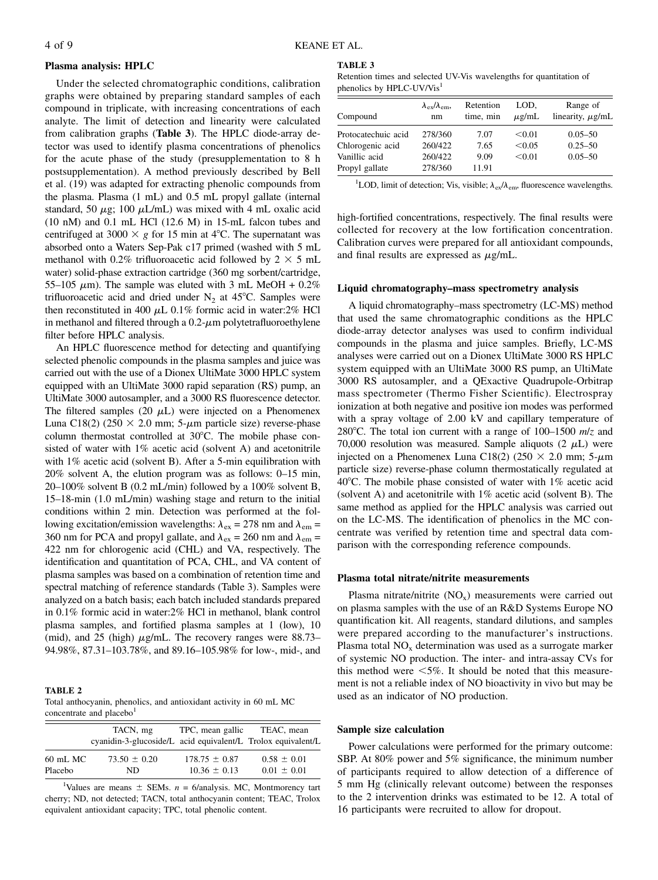# Plasma analysis: HPLC

Under the selected chromatographic conditions, calibration graphs were obtained by preparing standard samples of each compound in triplicate, with increasing concentrations of each analyte. The limit of detection and linearity were calculated from calibration graphs (Table 3). The HPLC diode-array detector was used to identify plasma concentrations of phenolics for the acute phase of the study (presupplementation to 8 h postsupplementation). A method previously described by Bell et al. (19) was adapted for extracting phenolic compounds from the plasma. Plasma (1 mL) and 0.5 mL propyl gallate (internal standard, 50  $\mu$ g; 100  $\mu$ L/mL) was mixed with 4 mL oxalic acid (10 nM) and 0.1 mL HCl (12.6 M) in 15-mL falcon tubes and centrifuged at 3000  $\times$  g for 15 min at 4°C. The supernatant was absorbed onto a Waters Sep-Pak c17 primed (washed with 5 mL methanol with 0.2% trifluoroacetic acid followed by  $2 \times 5$  mL water) solid-phase extraction cartridge (360 mg sorbent/cartridge, 55–105  $\mu$ m). The sample was eluted with 3 mL MeOH + 0.2% trifluoroacetic acid and dried under  $N_2$  at 45°C. Samples were then reconstituted in 400  $\mu$ L 0.1% formic acid in water:2% HCl in methanol and filtered through a  $0.2$ - $\mu$ m polytetrafluoroethylene filter before HPLC analysis.

An HPLC fluorescence method for detecting and quantifying selected phenolic compounds in the plasma samples and juice was carried out with the use of a Dionex UltiMate 3000 HPLC system equipped with an UltiMate 3000 rapid separation (RS) pump, an UltiMate 3000 autosampler, and a 3000 RS fluorescence detector. The filtered samples (20  $\mu$ L) were injected on a Phenomenex Luna C18(2) (250  $\times$  2.0 mm; 5- $\mu$ m particle size) reverse-phase column thermostat controlled at  $30^{\circ}$ C. The mobile phase consisted of water with 1% acetic acid (solvent A) and acetonitrile with 1% acetic acid (solvent B). After a 5-min equilibration with 20% solvent A, the elution program was as follows: 0–15 min, 20–100% solvent B (0.2 mL/min) followed by a 100% solvent B, 15–18-min (1.0 mL/min) washing stage and return to the initial conditions within 2 min. Detection was performed at the following excitation/emission wavelengths:  $\lambda_{ex} = 278$  nm and  $\lambda_{em} =$ 360 nm for PCA and propyl gallate, and  $\lambda_{ex} = 260$  nm and  $\lambda_{em} =$ 422 nm for chlorogenic acid (CHL) and VA, respectively. The identification and quantitation of PCA, CHL, and VA content of plasma samples was based on a combination of retention time and spectral matching of reference standards (Table 3). Samples were analyzed on a batch basis; each batch included standards prepared in 0.1% formic acid in water:2% HCl in methanol, blank control plasma samples, and fortified plasma samples at 1 (low), 10 (mid), and 25 (high)  $\mu$ g/mL. The recovery ranges were 88.73– 94.98%, 87.31–103.78%, and 89.16–105.98% for low-, mid-, and

#### TABLE 2

Total anthocyanin, phenolics, and antioxidant activity in 60 mL MC concentrate and placebo<sup>1</sup>

|            | TACN, mg<br>cyanidin-3-glucoside/L acid equivalent/L Trolox equivalent/L | TPC, mean gallic  | TEAC, mean      |
|------------|--------------------------------------------------------------------------|-------------------|-----------------|
| $60$ mL MC | $73.50 \pm 0.20$                                                         | $178.75 \pm 0.87$ | $0.58 \pm 0.01$ |
| Placebo    | ND.                                                                      | $10.36 \pm 0.13$  | $0.01 \pm 0.01$ |

<sup>1</sup>Values are means  $\pm$  SEMs. n = 6/analysis. MC, Montmorency tart cherry; ND, not detected; TACN, total anthocyanin content; TEAC, Trolox equivalent antioxidant capacity; TPC, total phenolic content.

# TABLE 3

Retention times and selected UV-Vis wavelengths for quantitation of phenolics by HPLC-UV/Vis<sup>1</sup>

| Compound            | $\lambda_{\rm ex}/\lambda_{\rm em}$<br>nm | Retention<br>time, min | LOD.<br>$\mu$ g/mL | Range of<br>linearity, $\mu$ g/mL |
|---------------------|-------------------------------------------|------------------------|--------------------|-----------------------------------|
| Protocatechuic acid | 278/360                                   | 7.07                   | < 0.01             | $0.05 - 50$                       |
| Chlorogenic acid    | 260/422                                   | 7.65                   | < 0.05             | $0.25 - 50$                       |
| Vanillic acid       | 260/422                                   | 9.09                   | < 0.01             | $0.05 - 50$                       |
| Propyl gallate      | 278/360                                   | 11.91                  |                    |                                   |

<sup>1</sup>LOD, limit of detection; Vis, visible;  $\lambda_{ex}/\lambda_{em}$ , fluorescence wavelengths.

high-fortified concentrations, respectively. The final results were collected for recovery at the low fortification concentration. Calibration curves were prepared for all antioxidant compounds, and final results are expressed as  $\mu$ g/mL.

# Liquid chromatography–mass spectrometry analysis

A liquid chromatography–mass spectrometry (LC-MS) method that used the same chromatographic conditions as the HPLC diode-array detector analyses was used to confirm individual compounds in the plasma and juice samples. Briefly, LC-MS analyses were carried out on a Dionex UltiMate 3000 RS HPLC system equipped with an UltiMate 3000 RS pump, an UltiMate 3000 RS autosampler, and a QExactive Quadrupole-Orbitrap mass spectrometer (Thermo Fisher Scientific). Electrospray ionization at both negative and positive ion modes was performed with a spray voltage of 2.00 kV and capillary temperature of 280 $^{\circ}$ C. The total ion current with a range of 100–1500 m/z and 70,000 resolution was measured. Sample aliquots  $(2 \mu L)$  were injected on a Phenomenex Luna C18(2) (250  $\times$  2.0 mm; 5- $\mu$ m particle size) reverse-phase column thermostatically regulated at 40°C. The mobile phase consisted of water with 1% acetic acid (solvent A) and acetonitrile with 1% acetic acid (solvent B). The same method as applied for the HPLC analysis was carried out on the LC-MS. The identification of phenolics in the MC concentrate was verified by retention time and spectral data comparison with the corresponding reference compounds.

# Plasma total nitrate/nitrite measurements

Plasma nitrate/nitrite  $(NO_x)$  measurements were carried out on plasma samples with the use of an R&D Systems Europe NO quantification kit. All reagents, standard dilutions, and samples were prepared according to the manufacturer's instructions. Plasma total  $NO<sub>x</sub>$  determination was used as a surrogate marker of systemic NO production. The inter- and intra-assay CVs for this method were  $<5\%$ . It should be noted that this measurement is not a reliable index of NO bioactivity in vivo but may be used as an indicator of NO production.

#### Sample size calculation

Power calculations were performed for the primary outcome: SBP. At 80% power and 5% significance, the minimum number of participants required to allow detection of a difference of 5 mm Hg (clinically relevant outcome) between the responses to the 2 intervention drinks was estimated to be 12. A total of 16 participants were recruited to allow for dropout.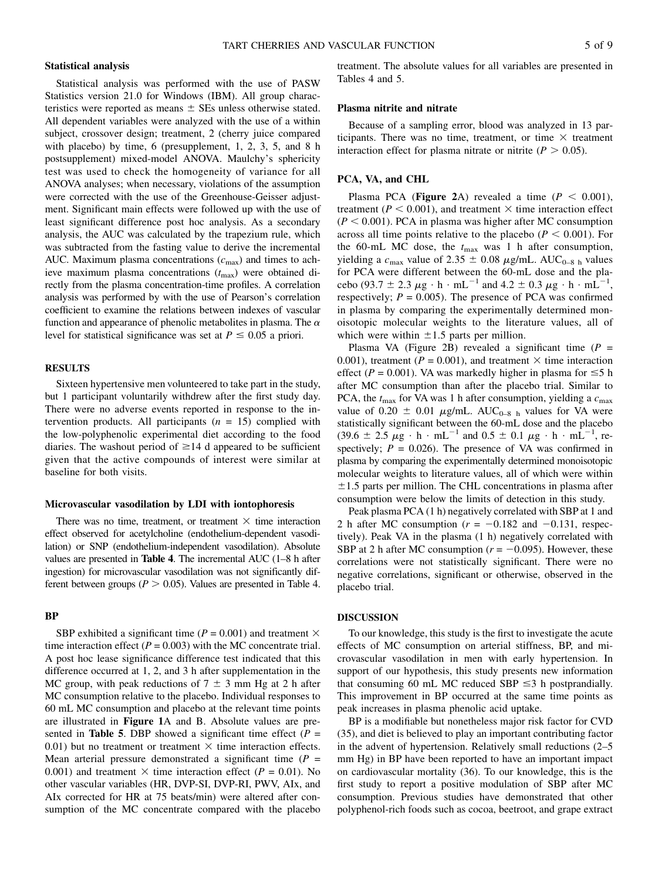# Statistical analysis

Statistical analysis was performed with the use of PASW Statistics version 21.0 for Windows (IBM). All group characteristics were reported as means  $\pm$  SEs unless otherwise stated. All dependent variables were analyzed with the use of a within subject, crossover design; treatment, 2 (cherry juice compared with placebo) by time, 6 (presupplement, 1, 2, 3, 5, and 8 h postsupplement) mixed-model ANOVA. Maulchy's sphericity test was used to check the homogeneity of variance for all ANOVA analyses; when necessary, violations of the assumption were corrected with the use of the Greenhouse-Geisser adjustment. Significant main effects were followed up with the use of least significant difference post hoc analysis. As a secondary analysis, the AUC was calculated by the trapezium rule, which was subtracted from the fasting value to derive the incremental AUC. Maximum plasma concentrations  $(c_{\text{max}})$  and times to achieve maximum plasma concentrations  $(t_{\text{max}})$  were obtained directly from the plasma concentration-time profiles. A correlation analysis was performed by with the use of Pearson's correlation coefficient to examine the relations between indexes of vascular function and appearance of phenolic metabolites in plasma. The  $\alpha$ level for statistical significance was set at  $P \le 0.05$  a priori.

# **RESULTS**

Sixteen hypertensive men volunteered to take part in the study, but 1 participant voluntarily withdrew after the first study day. There were no adverse events reported in response to the intervention products. All participants  $(n = 15)$  complied with the low-polyphenolic experimental diet according to the food diaries. The washout period of  $\geq$  14 d appeared to be sufficient given that the active compounds of interest were similar at baseline for both visits.

#### Microvascular vasodilation by LDI with iontophoresis

There was no time, treatment, or treatment  $\times$  time interaction effect observed for acetylcholine (endothelium-dependent vasodilation) or SNP (endothelium-independent vasodilation). Absolute values are presented in Table 4. The incremental AUC (1–8 h after ingestion) for microvascular vasodilation was not significantly different between groups ( $P > 0.05$ ). Values are presented in Table 4.

# BP

SBP exhibited a significant time ( $P = 0.001$ ) and treatment  $\times$ time interaction effect ( $P = 0.003$ ) with the MC concentrate trial. A post hoc lease significance difference test indicated that this difference occurred at 1, 2, and 3 h after supplementation in the MC group, with peak reductions of  $7 \pm 3$  mm Hg at 2 h after MC consumption relative to the placebo. Individual responses to 60 mL MC consumption and placebo at the relevant time points are illustrated in Figure 1A and B. Absolute values are presented in Table 5. DBP showed a significant time effect ( $P =$ 0.01) but no treatment or treatment  $\times$  time interaction effects. Mean arterial pressure demonstrated a significant time ( $P =$ 0.001) and treatment  $\times$  time interaction effect ( $P = 0.01$ ). No other vascular variables (HR, DVP-SI, DVP-RI, PWV, AIx, and AIx corrected for HR at 75 beats/min) were altered after consumption of the MC concentrate compared with the placebo

treatment. The absolute values for all variables are presented in Tables 4 and 5.

### Plasma nitrite and nitrate

Because of a sampling error, blood was analyzed in 13 participants. There was no time, treatment, or time  $\times$  treatment interaction effect for plasma nitrate or nitrite ( $P > 0.05$ ).

# PCA, VA, and CHL

Plasma PCA (Figure 2A) revealed a time  $(P < 0.001)$ , treatment ( $P < 0.001$ ), and treatment  $\times$  time interaction effect  $(P < 0.001)$ . PCA in plasma was higher after MC consumption across all time points relative to the placebo ( $P < 0.001$ ). For the 60-mL MC dose, the  $t_{\text{max}}$  was 1 h after consumption, yielding a  $c_{\text{max}}$  value of 2.35  $\pm$  0.08  $\mu$ g/mL. AUC<sub>0–8 h</sub> values for PCA were different between the 60-mL dose and the placebo (93.7  $\pm$  2.3  $\mu$ g  $\cdot$  h  $\cdot$  mL<sup>-1</sup> and 4.2  $\pm$  0.3  $\mu$ g  $\cdot$  h  $\cdot$  mL<sup>-1</sup>, respectively;  $P = 0.005$ ). The presence of PCA was confirmed in plasma by comparing the experimentally determined monoisotopic molecular weights to the literature values, all of which were within  $\pm 1.5$  parts per million.

Plasma VA (Figure 2B) revealed a significant time  $(P =$ 0.001), treatment ( $P = 0.001$ ), and treatment  $\times$  time interaction effect ( $P = 0.001$ ). VA was markedly higher in plasma for  $\leq 5$  h after MC consumption than after the placebo trial. Similar to PCA, the  $t_{\text{max}}$  for VA was 1 h after consumption, yielding a  $c_{\text{max}}$ value of 0.20  $\pm$  0.01  $\mu$ g/mL. AUC<sub>0–8 h</sub> values for VA were statistically significant between the 60-mL dose and the placebo (39.6  $\pm$  2.5  $\mu$ g  $\cdot$  h  $\cdot$  mL<sup>-1</sup> and 0.5  $\pm$  0.1  $\mu$ g  $\cdot$  h  $\cdot$  mL<sup>-1</sup>, respectively;  $P = 0.026$ . The presence of VA was confirmed in plasma by comparing the experimentally determined monoisotopic molecular weights to literature values, all of which were within  $\pm$ 1.5 parts per million. The CHL concentrations in plasma after consumption were below the limits of detection in this study.

Peak plasma PCA (1 h) negatively correlated with SBP at 1 and 2 h after MC consumption ( $r = -0.182$  and  $-0.131$ , respectively). Peak VA in the plasma (1 h) negatively correlated with SBP at 2 h after MC consumption ( $r = -0.095$ ). However, these correlations were not statistically significant. There were no negative correlations, significant or otherwise, observed in the placebo trial.

#### DISCUSSION

To our knowledge, this study is the first to investigate the acute effects of MC consumption on arterial stiffness, BP, and microvascular vasodilation in men with early hypertension. In support of our hypothesis, this study presents new information that consuming 60 mL MC reduced SBP  $\leq$ 3 h postprandially. This improvement in BP occurred at the same time points as peak increases in plasma phenolic acid uptake.

BP is a modifiable but nonetheless major risk factor for CVD (35), and diet is believed to play an important contributing factor in the advent of hypertension. Relatively small reductions (2–5 mm Hg) in BP have been reported to have an important impact on cardiovascular mortality (36). To our knowledge, this is the first study to report a positive modulation of SBP after MC consumption. Previous studies have demonstrated that other polyphenol-rich foods such as cocoa, beetroot, and grape extract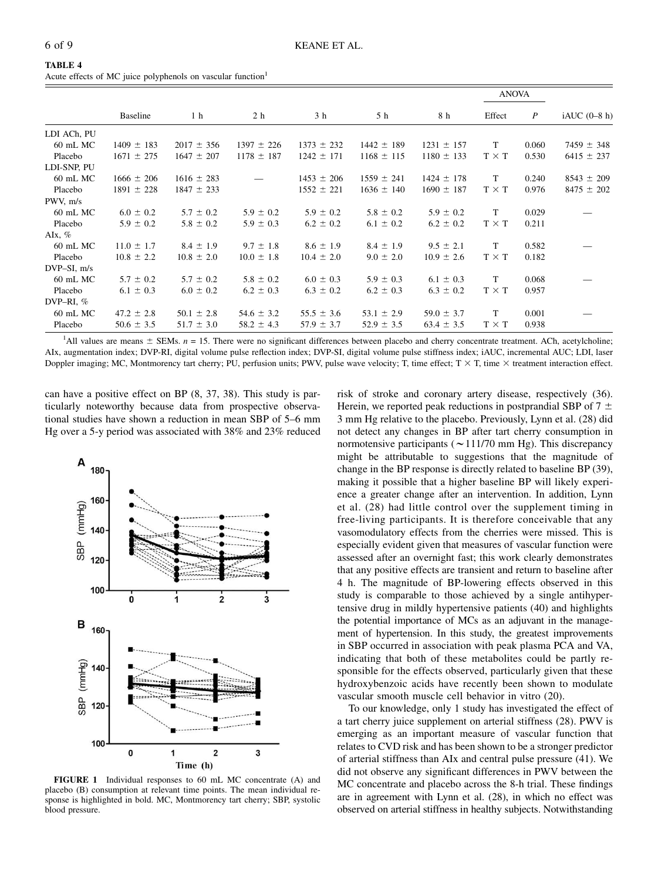|                  |                |                |                |                |                |                | <b>ANOVA</b> |                  |                |
|------------------|----------------|----------------|----------------|----------------|----------------|----------------|--------------|------------------|----------------|
|                  | Baseline       | 1 <sub>h</sub> | 2 <sub>h</sub> | 3 h            | 5 h            | 8 h            | Effect       | $\boldsymbol{P}$ | $iAUC$ (0-8 h) |
| LDI ACh, PU      |                |                |                |                |                |                |              |                  |                |
| $60$ mL MC       | $1409 \pm 183$ | $2017 \pm 356$ | $1397 \pm 226$ | $1373 \pm 232$ | $1442 \pm 189$ | $1231 \pm 157$ | T            | 0.060            | $7459 \pm 348$ |
| Placebo          | $1671 \pm 275$ | $1647 \pm 207$ | $1178 \pm 187$ | $1242 \pm 171$ | $1168 \pm 115$ | $1180 \pm 133$ | $T \times T$ | 0.530            | $6415 \pm 237$ |
| LDI-SNP, PU      |                |                |                |                |                |                |              |                  |                |
| $60$ mL MC       | $1666 \pm 206$ | $1616 \pm 283$ |                | $1453 \pm 206$ | $1559 \pm 241$ | $1424 \pm 178$ | T            | 0.240            | $8543 \pm 209$ |
| Placebo          | $1891 \pm 228$ | $1847 \pm 233$ |                | $1552 \pm 221$ | $1636 \pm 140$ | $1690 \pm 187$ | $T \times T$ | 0.976            | $8475 \pm 202$ |
| PWV, m/s         |                |                |                |                |                |                |              |                  |                |
| $60$ mL MC       | $6.0 \pm 0.2$  | $5.7 \pm 0.2$  | $5.9 \pm 0.2$  | $5.9 \pm 0.2$  | $5.8 \pm 0.2$  | $5.9 \pm 0.2$  | T            | 0.029            |                |
| Placebo          | $5.9 \pm 0.2$  | $5.8 \pm 0.2$  | $5.9 \pm 0.3$  | $6.2 \pm 0.2$  | $6.1 \pm 0.2$  | $6.2 \pm 0.2$  | $T \times T$ | 0.211            |                |
| AIx, $%$         |                |                |                |                |                |                |              |                  |                |
| $60$ mL MC       | $11.0 \pm 1.7$ | $8.4 \pm 1.9$  | $9.7 \pm 1.8$  | $8.6 \pm 1.9$  | $8.4 \pm 1.9$  | $9.5 \pm 2.1$  | T            | 0.582            |                |
| Placebo          | $10.8 \pm 2.2$ | $10.8 \pm 2.0$ | $10.0 \pm 1.8$ | $10.4 \pm 2.0$ | $9.0 \pm 2.0$  | $10.9 \pm 2.6$ | $T \times T$ | 0.182            |                |
| $DVP-SI$ , $m/s$ |                |                |                |                |                |                |              |                  |                |
| 60 mL MC         | $5.7 \pm 0.2$  | $5.7 \pm 0.2$  | $5.8 \pm 0.2$  | $6.0 \pm 0.3$  | $5.9 \pm 0.3$  | $6.1 \pm 0.3$  | T            | 0.068            |                |
| Placebo          | $6.1 \pm 0.3$  | $6.0 \pm 0.2$  | $6.2 \pm 0.3$  | $6.3 \pm 0.2$  | $6.2 \pm 0.3$  | $6.3 \pm 0.2$  | $T \times T$ | 0.957            |                |
| DVP-RI, $%$      |                |                |                |                |                |                |              |                  |                |
| $60$ mL MC       | $47.2 \pm 2.8$ | $50.1 \pm 2.8$ | $54.6 \pm 3.2$ | $55.5 \pm 3.6$ | $53.1 \pm 2.9$ | $59.0 \pm 3.7$ | T            | 0.001            |                |
| Placebo          | $50.6 \pm 3.5$ | $51.7 \pm 3.0$ | $58.2 \pm 4.3$ | $57.9 \pm 3.7$ | $52.9 \pm 3.5$ | $63.4 \pm 3.5$ | $T \times T$ | 0.938            |                |

Acute effects of MC juice polyphenols on vascular function<sup>1</sup>

<sup>1</sup>All values are means  $\pm$  SEMs,  $n = 15$ . There were no significant differences between placebo and cherry concentrate treatment. ACh, acetylcholine; AIx, augmentation index; DVP-RI, digital volume pulse reflection index; DVP-SI, digital volume pulse stiffness index; iAUC, incremental AUC; LDI, laser Doppler imaging; MC, Montmorency tart cherry; PU, perfusion units; PWV, pulse wave velocity; T, time effect;  $T \times T$ , time  $\times$  treatment interaction effect.

can have a positive effect on BP (8, 37, 38). This study is particularly noteworthy because data from prospective observational studies have shown a reduction in mean SBP of 5–6 mm Hg over a 5-y period was associated with 38% and 23% reduced



FIGURE 1 Individual responses to 60 mL MC concentrate (A) and placebo (B) consumption at relevant time points. The mean individual response is highlighted in bold. MC, Montmorency tart cherry; SBP, systolic blood pressure.

risk of stroke and coronary artery disease, respectively (36). Herein, we reported peak reductions in postprandial SBP of  $7 \pm$ 3 mm Hg relative to the placebo. Previously, Lynn et al. (28) did not detect any changes in BP after tart cherry consumption in normotensive participants ( $\sim$  111/70 mm Hg). This discrepancy might be attributable to suggestions that the magnitude of change in the BP response is directly related to baseline BP (39), making it possible that a higher baseline BP will likely experience a greater change after an intervention. In addition, Lynn et al. (28) had little control over the supplement timing in free-living participants. It is therefore conceivable that any vasomodulatory effects from the cherries were missed. This is especially evident given that measures of vascular function were assessed after an overnight fast; this work clearly demonstrates that any positive effects are transient and return to baseline after 4 h. The magnitude of BP-lowering effects observed in this study is comparable to those achieved by a single antihypertensive drug in mildly hypertensive patients (40) and highlights the potential importance of MCs as an adjuvant in the management of hypertension. In this study, the greatest improvements in SBP occurred in association with peak plasma PCA and VA, indicating that both of these metabolites could be partly responsible for the effects observed, particularly given that these hydroxybenzoic acids have recently been shown to modulate vascular smooth muscle cell behavior in vitro (20).

To our knowledge, only 1 study has investigated the effect of a tart cherry juice supplement on arterial stiffness (28). PWV is emerging as an important measure of vascular function that relates to CVD risk and has been shown to be a stronger predictor of arterial stiffness than AIx and central pulse pressure (41). We did not observe any significant differences in PWV between the MC concentrate and placebo across the 8-h trial. These findings are in agreement with Lynn et al. (28), in which no effect was observed on arterial stiffness in healthy subjects. Notwithstanding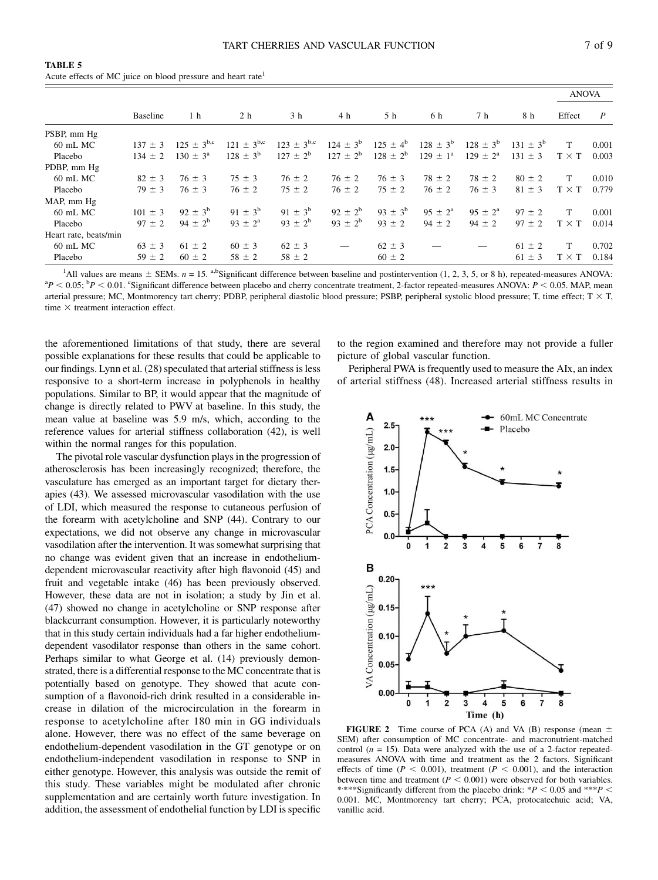|                       |             |                   |                   |                   |               |                     |                    |                    |                 |              | <b>ANOVA</b>     |  |  |
|-----------------------|-------------|-------------------|-------------------|-------------------|---------------|---------------------|--------------------|--------------------|-----------------|--------------|------------------|--|--|
|                       | Baseline    | 1 <sub>h</sub>    | 2 h               | 3 <sub>h</sub>    | 4 h           | 5 h                 | 6 h                | 7 h                | 8 h             | Effect       | $\boldsymbol{P}$ |  |  |
| PSBP, mm Hg           |             |                   |                   |                   |               |                     |                    |                    |                 |              |                  |  |  |
| $60$ mL MC            | $137 \pm 3$ | $125 \pm 3^{b,c}$ | $121 \pm 3^{b,c}$ | $123 \pm 3^{b,c}$ | $124 \pm 3^b$ | $125 \pm 4^{\rm b}$ | $128 \pm 3^{6}$    | $128 \pm 3^{6}$    | $131 \pm 3^{6}$ | T            | 0.001            |  |  |
| Placebo               | $134 \pm 2$ | $130 \pm 3^a$     | $128 \pm 3^{6}$   | $127 \pm 2^b$     | $127 \pm 2^b$ | $128 \pm 2^{b}$     | $129 \pm 1^a$      | $129 \pm 2^a$      | $131 \pm 3$     | $T \times T$ | 0.003            |  |  |
| PDBP, mm Hg           |             |                   |                   |                   |               |                     |                    |                    |                 |              |                  |  |  |
| 60 mL MC              | $82 \pm 3$  | $76 \pm 3$        | $75 \pm 3$        | $76 \pm 2$        | $76 \pm 2$    | $76 \pm 3$          | $78 \pm 2$         | $78 \pm 2$         | $80 \pm 2$      | T            | 0.010            |  |  |
| Placebo               | $79 \pm 3$  | $76 \pm 3$        | $76 \pm 2$        | $75 \pm 2$        | $76 \pm 2$    | $75 \pm 2$          | $76 \pm 2$         | $76 \pm 3$         | $81 \pm 3$      | $T \times T$ | 0.779            |  |  |
| MAP, mm Hg            |             |                   |                   |                   |               |                     |                    |                    |                 |              |                  |  |  |
| 60 mL MC              | $101 \pm 3$ | $92 \pm 3^b$      | $91 \pm 3^b$      | $91 \pm 3^{b}$    | $92 \pm 2^b$  | $93 \pm 3^b$        | $95 \pm 2^{\rm a}$ | $95 \pm 2^{\rm a}$ | $97 \pm 2$      | T            | 0.001            |  |  |
| Placebo               | $97 \pm 2$  | $94 \pm 2^{6}$    | $93 \pm 2^a$      | $93 \pm 2^b$      | $93 \pm 2^b$  | $93 \pm 2$          | $94 \pm 2$         | $94 \pm 2$         | $97 \pm 2$      | $T \times T$ | 0.014            |  |  |
| Heart rate, beats/min |             |                   |                   |                   |               |                     |                    |                    |                 |              |                  |  |  |
| 60 mL MC              | $63 \pm 3$  | $61 \pm 2$        | $60 \pm 3$        | $62 \pm 3$        |               | $62 \pm 3$          |                    |                    | $61 \pm 2$      | T            | 0.702            |  |  |
| Placebo               | $59 \pm 2$  | $60 \pm 2$        | $58 \pm 2$        | $58 \pm 2$        |               | $60 \pm 2$          |                    |                    | $61 \pm 3$      | $T \times T$ | 0.184            |  |  |

TABLE 5 Acute effects of MC juice on blood pressure and heart rate<sup>1</sup>

<sup>1</sup>All values are means  $\pm$  SEMs.  $n = 15$ . a,bSignificant difference between baseline and postintervention (1, 2, 3, 5, or 8 h), repeated-measures ANOVA:  ${}^{a}P$  < 0.05;  ${}^{b}P$  < 0.01. Considerate difference between placebo and cherry concentrate treatment, 2-factor repeated-measures ANOVA:  $P$  < 0.05. MAP, mean arterial pressure; MC, Montmorency tart cherry; PDBP, peripheral diastolic blood pressure; PSBP, peripheral systolic blood pressure; T, time effect;  $T \times T$ , time  $\times$  treatment interaction effect.

the aforementioned limitations of that study, there are several possible explanations for these results that could be applicable to our findings. Lynn et al. (28) speculated that arterial stiffness is less responsive to a short-term increase in polyphenols in healthy populations. Similar to BP, it would appear that the magnitude of change is directly related to PWV at baseline. In this study, the mean value at baseline was 5.9 m/s, which, according to the reference values for arterial stiffness collaboration (42), is well within the normal ranges for this population.

The pivotal role vascular dysfunction plays in the progression of atherosclerosis has been increasingly recognized; therefore, the vasculature has emerged as an important target for dietary therapies (43). We assessed microvascular vasodilation with the use of LDI, which measured the response to cutaneous perfusion of the forearm with acetylcholine and SNP (44). Contrary to our expectations, we did not observe any change in microvascular vasodilation after the intervention. It was somewhat surprising that no change was evident given that an increase in endotheliumdependent microvascular reactivity after high flavonoid (45) and fruit and vegetable intake (46) has been previously observed. However, these data are not in isolation; a study by Jin et al. (47) showed no change in acetylcholine or SNP response after blackcurrant consumption. However, it is particularly noteworthy that in this study certain individuals had a far higher endotheliumdependent vasodilator response than others in the same cohort. Perhaps similar to what George et al. (14) previously demonstrated, there is a differential response to the MC concentrate that is potentially based on genotype. They showed that acute consumption of a flavonoid-rich drink resulted in a considerable increase in dilation of the microcirculation in the forearm in response to acetylcholine after 180 min in GG individuals alone. However, there was no effect of the same beverage on endothelium-dependent vasodilation in the GT genotype or on endothelium-independent vasodilation in response to SNP in either genotype. However, this analysis was outside the remit of this study. These variables might be modulated after chronic supplementation and are certainly worth future investigation. In addition, the assessment of endothelial function by LDI is specific

to the region examined and therefore may not provide a fuller picture of global vascular function.

Peripheral PWA is frequently used to measure the AIx, an index of arterial stiffness (48). Increased arterial stiffness results in



**FIGURE 2** Time course of PCA (A) and VA (B) response (mean  $\pm$ SEM) after consumption of MC concentrate- and macronutrient-matched control ( $n = 15$ ). Data were analyzed with the use of a 2-factor repeatedmeasures ANOVA with time and treatment as the 2 factors. Significant effects of time ( $P < 0.001$ ), treatment ( $P < 0.001$ ), and the interaction between time and treatment ( $P < 0.001$ ) were observed for both variables. \*\*\*\*Significantly different from the placebo drink:  $*P < 0.05$  and  $**P <$ 0.001. MC, Montmorency tart cherry; PCA, protocatechuic acid; VA, vanillic acid.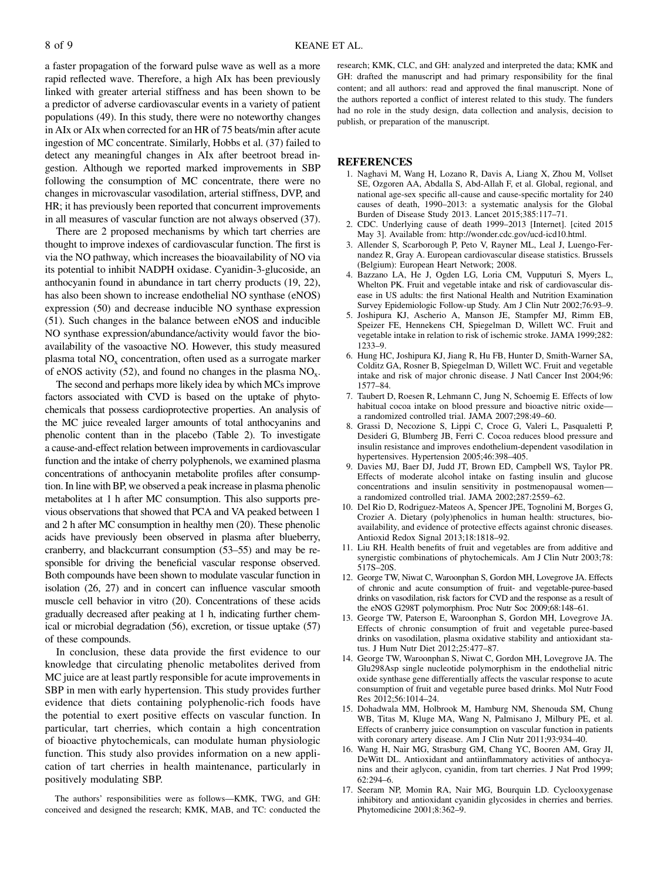a faster propagation of the forward pulse wave as well as a more rapid reflected wave. Therefore, a high AIx has been previously linked with greater arterial stiffness and has been shown to be a predictor of adverse cardiovascular events in a variety of patient populations (49). In this study, there were no noteworthy changes in AIx or AIx when corrected for an HR of 75 beats/min after acute ingestion of MC concentrate. Similarly, Hobbs et al. (37) failed to detect any meaningful changes in AIx after beetroot bread ingestion. Although we reported marked improvements in SBP following the consumption of MC concentrate, there were no changes in microvascular vasodilation, arterial stiffness, DVP, and HR; it has previously been reported that concurrent improvements in all measures of vascular function are not always observed (37).

There are 2 proposed mechanisms by which tart cherries are thought to improve indexes of cardiovascular function. The first is via the NO pathway, which increases the bioavailability of NO via its potential to inhibit NADPH oxidase. Cyanidin-3-glucoside, an anthocyanin found in abundance in tart cherry products (19, 22), has also been shown to increase endothelial NO synthase (eNOS) expression (50) and decrease inducible NO synthase expression (51). Such changes in the balance between eNOS and inducible NO synthase expression/abundance/activity would favor the bioavailability of the vasoactive NO. However, this study measured plasma total  $NO<sub>x</sub>$  concentration, often used as a surrogate marker of eNOS activity (52), and found no changes in the plasma  $NO<sub>x</sub>$ .

The second and perhaps more likely idea by which MCs improve factors associated with CVD is based on the uptake of phytochemicals that possess cardioprotective properties. An analysis of the MC juice revealed larger amounts of total anthocyanins and phenolic content than in the placebo (Table 2). To investigate a cause-and-effect relation between improvements in cardiovascular function and the intake of cherry polyphenols, we examined plasma concentrations of anthocyanin metabolite profiles after consumption. In line with BP, we observed a peak increase in plasma phenolic metabolites at 1 h after MC consumption. This also supports previous observations that showed that PCA and VA peaked between 1 and 2 h after MC consumption in healthy men (20). These phenolic acids have previously been observed in plasma after blueberry, cranberry, and blackcurrant consumption (53–55) and may be responsible for driving the beneficial vascular response observed. Both compounds have been shown to modulate vascular function in isolation (26, 27) and in concert can influence vascular smooth muscle cell behavior in vitro (20). Concentrations of these acids gradually decreased after peaking at 1 h, indicating further chemical or microbial degradation (56), excretion, or tissue uptake (57) of these compounds.

In conclusion, these data provide the first evidence to our knowledge that circulating phenolic metabolites derived from MC juice are at least partly responsible for acute improvements in SBP in men with early hypertension. This study provides further evidence that diets containing polyphenolic-rich foods have the potential to exert positive effects on vascular function. In particular, tart cherries, which contain a high concentration of bioactive phytochemicals, can modulate human physiologic function. This study also provides information on a new application of tart cherries in health maintenance, particularly in positively modulating SBP.

The authors' responsibilities were as follows—KMK, TWG, and GH: conceived and designed the research; KMK, MAB, and TC: conducted the

research; KMK, CLC, and GH: analyzed and interpreted the data; KMK and GH: drafted the manuscript and had primary responsibility for the final content; and all authors: read and approved the final manuscript. None of the authors reported a conflict of interest related to this study. The funders had no role in the study design, data collection and analysis, decision to publish, or preparation of the manuscript.

#### **REFERENCES**

- 1. Naghavi M, Wang H, Lozano R, Davis A, Liang X, Zhou M, Vollset SE, Ozgoren AA, Abdalla S, Abd-Allah F, et al. Global, regional, and national age-sex specific all-cause and cause-specific mortality for 240 causes of death, 1990–2013: a systematic analysis for the Global Burden of Disease Study 2013. Lancet 2015;385:117–71.
- 2. CDC. Underlying cause of death 1999–2013 [Internet]. [cited 2015 May 3]. Available from: http://wonder.cdc.gov/ucd-icd10.html.
- 3. Allender S, Scarborough P, Peto V, Rayner ML, Leal J, Luengo-Fernandez R, Gray A. European cardiovascular disease statistics. Brussels (Belgium): European Heart Network; 2008.
- 4. Bazzano LA, He J, Ogden LG, Loria CM, Vupputuri S, Myers L, Whelton PK. Fruit and vegetable intake and risk of cardiovascular disease in US adults: the first National Health and Nutrition Examination Survey Epidemiologic Follow-up Study. Am J Clin Nutr 2002;76:93–9.
- 5. Joshipura KJ, Ascherio A, Manson JE, Stampfer MJ, Rimm EB, Speizer FE, Hennekens CH, Spiegelman D, Willett WC. Fruit and vegetable intake in relation to risk of ischemic stroke. JAMA 1999;282: 1233–9.
- 6. Hung HC, Joshipura KJ, Jiang R, Hu FB, Hunter D, Smith-Warner SA, Colditz GA, Rosner B, Spiegelman D, Willett WC. Fruit and vegetable intake and risk of major chronic disease. J Natl Cancer Inst 2004;96: 1577–84.
- 7. Taubert D, Roesen R, Lehmann C, Jung N, Schoemig E. Effects of low habitual cocoa intake on blood pressure and bioactive nitric oxide a randomized controlled trial. JAMA 2007;298:49–60.
- 8. Grassi D, Necozione S, Lippi C, Croce G, Valeri L, Pasqualetti P, Desideri G, Blumberg JB, Ferri C. Cocoa reduces blood pressure and insulin resistance and improves endothelium-dependent vasodilation in hypertensives. Hypertension 2005;46:398–405.
- 9. Davies MJ, Baer DJ, Judd JT, Brown ED, Campbell WS, Taylor PR. Effects of moderate alcohol intake on fasting insulin and glucose concentrations and insulin sensitivity in postmenopausal women a randomized controlled trial. JAMA 2002;287:2559–62.
- 10. Del Rio D, Rodriguez-Mateos A, Spencer JPE, Tognolini M, Borges G, Crozier A. Dietary (poly)phenolics in human health: structures, bioavailability, and evidence of protective effects against chronic diseases. Antioxid Redox Signal 2013;18:1818–92.
- 11. Liu RH. Health benefits of fruit and vegetables are from additive and synergistic combinations of phytochemicals. Am J Clin Nutr 2003;78: 517S–20S.
- 12. George TW, Niwat C, Waroonphan S, Gordon MH, Lovegrove JA. Effects of chronic and acute consumption of fruit- and vegetable-puree-based drinks on vasodilation, risk factors for CVD and the response as a result of the eNOS G298T polymorphism. Proc Nutr Soc 2009;68:148–61.
- 13. George TW, Paterson E, Waroonphan S, Gordon MH, Lovegrove JA. Effects of chronic consumption of fruit and vegetable puree-based drinks on vasodilation, plasma oxidative stability and antioxidant status. J Hum Nutr Diet 2012;25:477–87.
- 14. George TW, Waroonphan S, Niwat C, Gordon MH, Lovegrove JA. The Glu298Asp single nucleotide polymorphism in the endothelial nitric oxide synthase gene differentially affects the vascular response to acute consumption of fruit and vegetable puree based drinks. Mol Nutr Food Res 2012;56:1014–24.
- 15. Dohadwala MM, Holbrook M, Hamburg NM, Shenouda SM, Chung WB, Titas M, Kluge MA, Wang N, Palmisano J, Milbury PE, et al. Effects of cranberry juice consumption on vascular function in patients with coronary artery disease. Am J Clin Nutr 2011;93:934–40.
- 16. Wang H, Nair MG, Strasburg GM, Chang YC, Booren AM, Gray JI, DeWitt DL. Antioxidant and antiinflammatory activities of anthocyanins and their aglycon, cyanidin, from tart cherries. J Nat Prod 1999; 62:294–6.
- 17. Seeram NP, Momin RA, Nair MG, Bourquin LD. Cyclooxygenase inhibitory and antioxidant cyanidin glycosides in cherries and berries. Phytomedicine 2001;8:362–9.